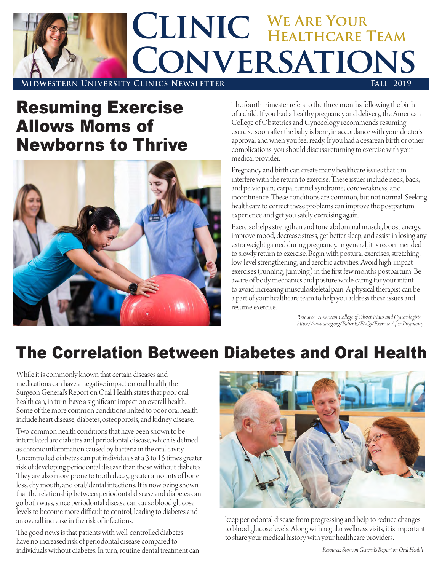

## Resuming Exercise Allows Moms of Newborns to Thrive



The fourth trimester refers to the three months following the birth of a child. If you had a healthy pregnancy and delivery, the American College of Obstetrics and Gynecology recommends resuming exercise soon after the baby is born, in accordance with your doctor's approval and when you feel ready. If you had a cesarean birth or other complications, you should discuss returning to exercise with your medical provider.

Pregnancy and birth can create many healthcare issues that can interfere with the return to exercise. These issues include neck, back, and pelvic pain; carpal tunnel syndrome; core weakness; and incontinence. These conditions are common, but not normal. Seeking healthcare to correct these problems can improve the postpartum experience and get you safely exercising again.

Exercise helps strengthen and tone abdominal muscle, boost energy, improve mood, decrease stress, get better sleep, and assist in losing any extra weight gained during pregnancy. In general, it is recommended to slowly return to exercise. Begin with postural exercises, stretching, low-level strengthening, and aerobic activities. Avoid high-impact exercises (running, jumping) in the first few months postpartum. Be aware of body mechanics and posture while caring for your infant to avoid increasing musculoskeletal pain. A physical therapist can be a part of your healthcare team to help you address these issues and resume exercise.

> *Resource: American College of Obstetricians and Gynecologists https://www.acog.org/Patients/FAQs/Exercise-After-Pregnancy*

## The Correlation Between Diabetes and Oral Health

While it is commonly known that certain diseases and medications can have a negative impact on oral health, the Surgeon General's Report on Oral Health states that poor oral health can, in turn, have a significant impact on overall health. Some of the more common conditions linked to poor oral health include heart disease, diabetes, osteoporosis, and kidney disease.

Two common health conditions that have been shown to be interrelated are diabetes and periodontal disease, which is defined as chronic inflammation caused by bacteria in the oral cavity. Uncontrolled diabetes can put individuals at a 3 to 15 times greater risk of developing periodontal disease than those without diabetes. They are also more prone to tooth decay, greater amounts of bone loss, dry mouth, and oral/dental infections. It is now being shown that the relationship between periodontal disease and diabetes can go both ways, since periodontal disease can cause blood glucose levels to become more difficult to control, leading to diabetes and an overall increase in the risk of infections.

The good news is that patients with well-controlled diabetes have no increased risk of periodontal disease compared to individuals without diabetes. In turn, routine dental treatment can



keep periodontal disease from progressing and help to reduce changes to blood glucose levels. Along with regular wellness visits, it is important to share your medical history with your healthcare providers.